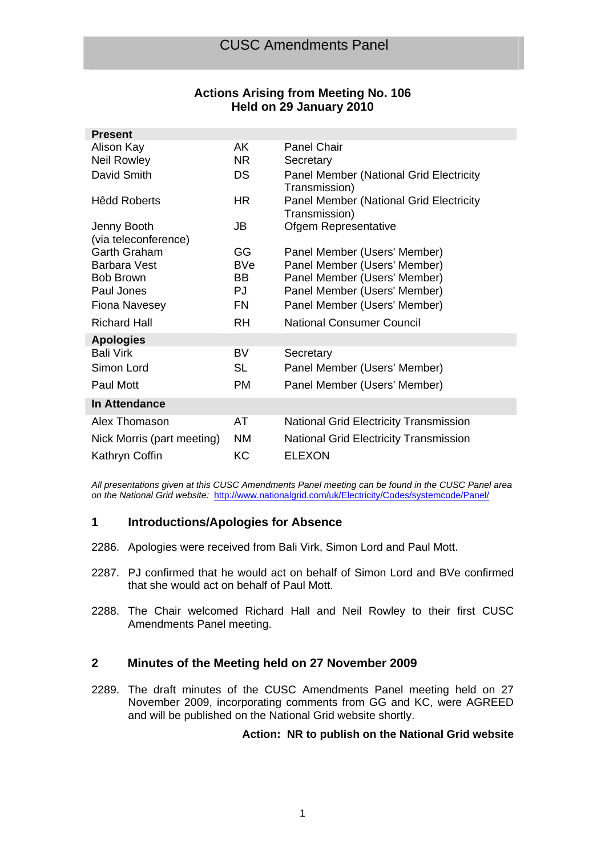# **Actions Arising from Meeting No. 106 Held on 29 January 2010**

| AK.       | <b>Panel Chair</b>                                              |
|-----------|-----------------------------------------------------------------|
| NR.       | Secretary                                                       |
| <b>DS</b> | <b>Panel Member (National Grid Electricity</b><br>Transmission) |
| HR.       | <b>Panel Member (National Grid Electricity</b><br>Transmission) |
| JB        | Ofgem Representative                                            |
|           |                                                                 |
|           | Panel Member (Users' Member)                                    |
|           | Panel Member (Users' Member)                                    |
|           | Panel Member (Users' Member)                                    |
|           | Panel Member (Users' Member)                                    |
| FN        | Panel Member (Users' Member)                                    |
| RH        | <b>National Consumer Council</b>                                |
|           |                                                                 |
| BV        | Secretary                                                       |
| SL        | Panel Member (Users' Member)                                    |
| <b>PM</b> | Panel Member (Users' Member)                                    |
|           |                                                                 |
| AT        | <b>National Grid Electricity Transmission</b>                   |
| <b>NM</b> | <b>National Grid Electricity Transmission</b>                   |
| KC        | <b>ELEXON</b>                                                   |
|           | GG<br><b>BVe</b><br>BB.<br>PJ.                                  |

*All presentations given at this CUSC Amendments Panel meeting can be found in the CUSC Panel area on the National Grid website:* http://www.nationalgrid.com/uk/Electricity/Codes/systemcode/Panel/

# **1 Introductions/Apologies for Absence**

- 2286. Apologies were received from Bali Virk, Simon Lord and Paul Mott.
- 2287. PJ confirmed that he would act on behalf of Simon Lord and BVe confirmed that she would act on behalf of Paul Mott.
- 2288. The Chair welcomed Richard Hall and Neil Rowley to their first CUSC Amendments Panel meeting.

# **2 Minutes of the Meeting held on 27 November 2009**

2289. The draft minutes of the CUSC Amendments Panel meeting held on 27 November 2009, incorporating comments from GG and KC, were AGREED and will be published on the National Grid website shortly.

# **Action: NR to publish on the National Grid website**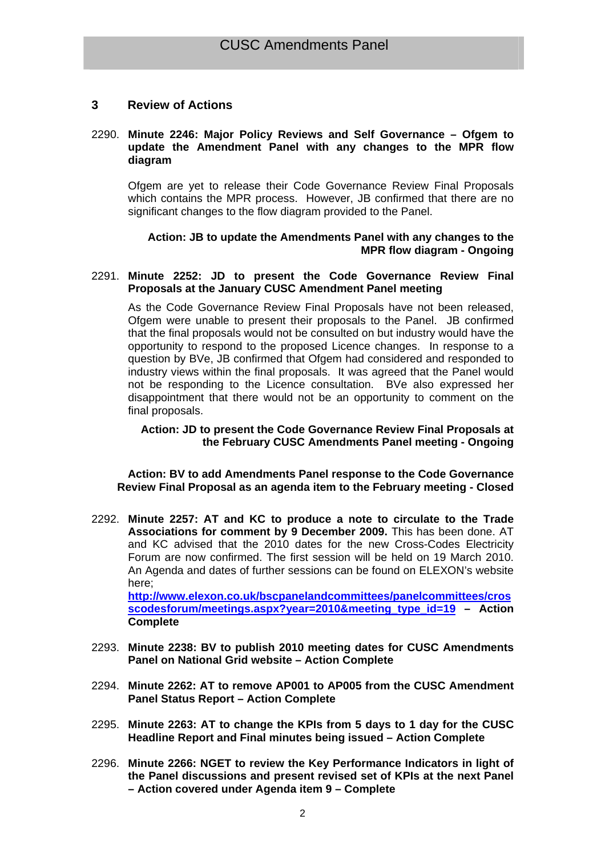# **3 Review of Actions**

### 2290. **Minute 2246: Major Policy Reviews and Self Governance – Ofgem to update the Amendment Panel with any changes to the MPR flow diagram**

Ofgem are yet to release their Code Governance Review Final Proposals which contains the MPR process. However, JB confirmed that there are no significant changes to the flow diagram provided to the Panel.

# **Action: JB to update the Amendments Panel with any changes to the MPR flow diagram - Ongoing**

### 2291. **Minute 2252: JD to present the Code Governance Review Final Proposals at the January CUSC Amendment Panel meeting**

As the Code Governance Review Final Proposals have not been released, Ofgem were unable to present their proposals to the Panel. JB confirmed that the final proposals would not be consulted on but industry would have the opportunity to respond to the proposed Licence changes. In response to a question by BVe, JB confirmed that Ofgem had considered and responded to industry views within the final proposals. It was agreed that the Panel would not be responding to the Licence consultation. BVe also expressed her disappointment that there would not be an opportunity to comment on the final proposals.

### **Action: JD to present the Code Governance Review Final Proposals at the February CUSC Amendments Panel meeting - Ongoing**

 **Action: BV to add Amendments Panel response to the Code Governance Review Final Proposal as an agenda item to the February meeting - Closed** 

2292. **Minute 2257: AT and KC to produce a note to circulate to the Trade Associations for comment by 9 December 2009.** This has been done. AT and KC advised that the 2010 dates for the new Cross-Codes Electricity Forum are now confirmed. The first session will be held on 19 March 2010. An Agenda and dates of further sessions can be found on ELEXON's website here;

**http://www.elexon.co.uk/bscpanelandcommittees/panelcommittees/cros scodesforum/meetings.aspx?year=2010&meeting\_type\_id=19 – Action Complete**

- 2293. **Minute 2238: BV to publish 2010 meeting dates for CUSC Amendments Panel on National Grid website – Action Complete**
- 2294. **Minute 2262: AT to remove AP001 to AP005 from the CUSC Amendment Panel Status Report – Action Complete**
- 2295. **Minute 2263: AT to change the KPIs from 5 days to 1 day for the CUSC Headline Report and Final minutes being issued – Action Complete**
- 2296. **Minute 2266: NGET to review the Key Performance Indicators in light of the Panel discussions and present revised set of KPIs at the next Panel – Action covered under Agenda item 9 – Complete**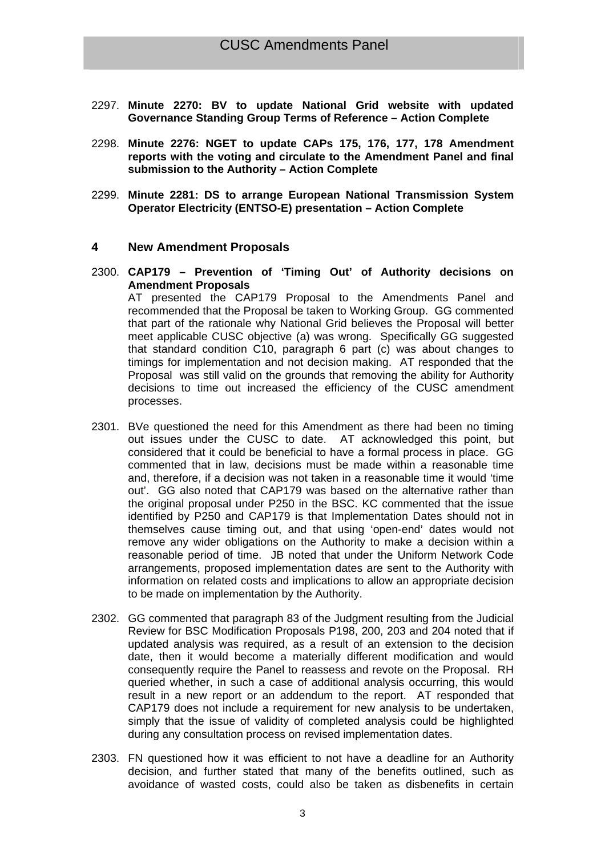- 2297. **Minute 2270: BV to update National Grid website with updated Governance Standing Group Terms of Reference – Action Complete**
- 2298. **Minute 2276: NGET to update CAPs 175, 176, 177, 178 Amendment reports with the voting and circulate to the Amendment Panel and final submission to the Authority – Action Complete**
- 2299. **Minute 2281: DS to arrange European National Transmission System Operator Electricity (ENTSO-E) presentation – Action Complete**

### **4 New Amendment Proposals**

2300. **CAP179 – Prevention of 'Timing Out' of Authority decisions on Amendment Proposals** 

AT presented the CAP179 Proposal to the Amendments Panel and recommended that the Proposal be taken to Working Group. GG commented that part of the rationale why National Grid believes the Proposal will better meet applicable CUSC objective (a) was wrong. Specifically GG suggested that standard condition C10, paragraph 6 part (c) was about changes to timings for implementation and not decision making. AT responded that the Proposal was still valid on the grounds that removing the ability for Authority decisions to time out increased the efficiency of the CUSC amendment processes.

- 2301. BVe questioned the need for this Amendment as there had been no timing out issues under the CUSC to date. AT acknowledged this point, but considered that it could be beneficial to have a formal process in place. GG commented that in law, decisions must be made within a reasonable time and, therefore, if a decision was not taken in a reasonable time it would 'time out'. GG also noted that CAP179 was based on the alternative rather than the original proposal under P250 in the BSC. KC commented that the issue identified by P250 and CAP179 is that Implementation Dates should not in themselves cause timing out, and that using 'open-end' dates would not remove any wider obligations on the Authority to make a decision within a reasonable period of time. JB noted that under the Uniform Network Code arrangements, proposed implementation dates are sent to the Authority with information on related costs and implications to allow an appropriate decision to be made on implementation by the Authority.
- 2302. GG commented that paragraph 83 of the Judgment resulting from the Judicial Review for BSC Modification Proposals P198, 200, 203 and 204 noted that if updated analysis was required, as a result of an extension to the decision date, then it would become a materially different modification and would consequently require the Panel to reassess and revote on the Proposal. RH queried whether, in such a case of additional analysis occurring, this would result in a new report or an addendum to the report. AT responded that CAP179 does not include a requirement for new analysis to be undertaken, simply that the issue of validity of completed analysis could be highlighted during any consultation process on revised implementation dates.
- 2303. FN questioned how it was efficient to not have a deadline for an Authority decision, and further stated that many of the benefits outlined, such as avoidance of wasted costs, could also be taken as disbenefits in certain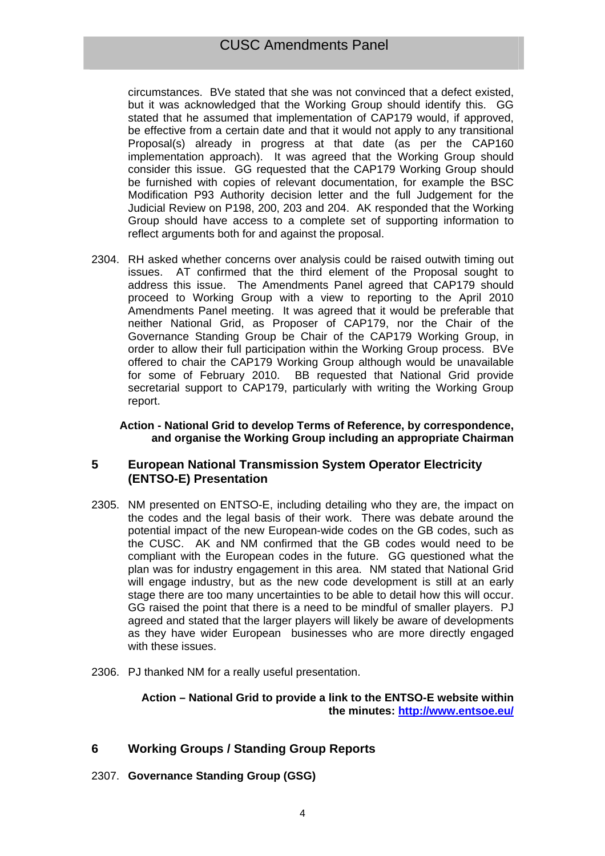circumstances. BVe stated that she was not convinced that a defect existed, but it was acknowledged that the Working Group should identify this. GG stated that he assumed that implementation of CAP179 would, if approved, be effective from a certain date and that it would not apply to any transitional Proposal(s) already in progress at that date (as per the CAP160 implementation approach). It was agreed that the Working Group should consider this issue. GG requested that the CAP179 Working Group should be furnished with copies of relevant documentation, for example the BSC Modification P93 Authority decision letter and the full Judgement for the Judicial Review on P198, 200, 203 and 204. AK responded that the Working Group should have access to a complete set of supporting information to reflect arguments both for and against the proposal.

2304. RH asked whether concerns over analysis could be raised outwith timing out issues. AT confirmed that the third element of the Proposal sought to address this issue. The Amendments Panel agreed that CAP179 should proceed to Working Group with a view to reporting to the April 2010 Amendments Panel meeting. It was agreed that it would be preferable that neither National Grid, as Proposer of CAP179, nor the Chair of the Governance Standing Group be Chair of the CAP179 Working Group, in order to allow their full participation within the Working Group process. BVe offered to chair the CAP179 Working Group although would be unavailable for some of February 2010. BB requested that National Grid provide secretarial support to CAP179, particularly with writing the Working Group report.

### **Action - National Grid to develop Terms of Reference, by correspondence, and organise the Working Group including an appropriate Chairman**

# **5 European National Transmission System Operator Electricity (ENTSO-E) Presentation**

- 2305. NM presented on ENTSO-E, including detailing who they are, the impact on the codes and the legal basis of their work. There was debate around the potential impact of the new European-wide codes on the GB codes, such as the CUSC. AK and NM confirmed that the GB codes would need to be compliant with the European codes in the future. GG questioned what the plan was for industry engagement in this area. NM stated that National Grid will engage industry, but as the new code development is still at an early stage there are too many uncertainties to be able to detail how this will occur. GG raised the point that there is a need to be mindful of smaller players. PJ agreed and stated that the larger players will likely be aware of developments as they have wider European businesses who are more directly engaged with these issues.
- 2306. PJ thanked NM for a really useful presentation.

# **Action – National Grid to provide a link to the ENTSO-E website within the minutes: http://www.entsoe.eu/**

# **6 Working Groups / Standing Group Reports**

2307. **Governance Standing Group (GSG)**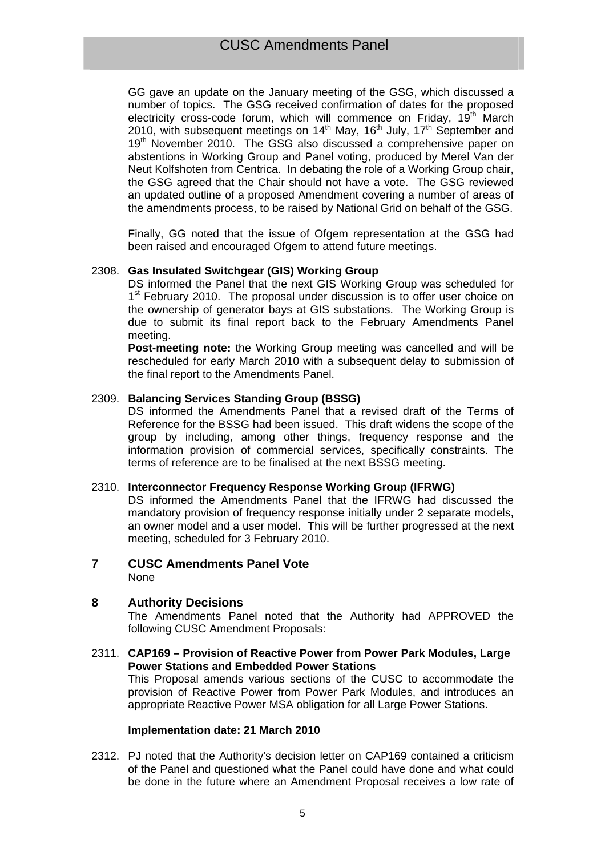GG gave an update on the January meeting of the GSG, which discussed a number of topics. The GSG received confirmation of dates for the proposed electricity cross-code forum, which will commence on Friday,  $19<sup>th</sup>$  March 2010, with subsequent meetings on 14<sup>th</sup> May, 16<sup>th</sup> July, 17<sup>th</sup> September and 19<sup>th</sup> November 2010. The GSG also discussed a comprehensive paper on abstentions in Working Group and Panel voting, produced by Merel Van der Neut Kolfshoten from Centrica. In debating the role of a Working Group chair, the GSG agreed that the Chair should not have a vote. The GSG reviewed an updated outline of a proposed Amendment covering a number of areas of the amendments process, to be raised by National Grid on behalf of the GSG.

Finally, GG noted that the issue of Ofgem representation at the GSG had been raised and encouraged Ofgem to attend future meetings.

### 2308. **Gas Insulated Switchgear (GIS) Working Group**

DS informed the Panel that the next GIS Working Group was scheduled for 1<sup>st</sup> February 2010. The proposal under discussion is to offer user choice on the ownership of generator bays at GIS substations. The Working Group is due to submit its final report back to the February Amendments Panel meeting.

**Post-meeting note:** the Working Group meeting was cancelled and will be rescheduled for early March 2010 with a subsequent delay to submission of the final report to the Amendments Panel.

### 2309. **Balancing Services Standing Group (BSSG)**

DS informed the Amendments Panel that a revised draft of the Terms of Reference for the BSSG had been issued. This draft widens the scope of the group by including, among other things, frequency response and the information provision of commercial services, specifically constraints. The terms of reference are to be finalised at the next BSSG meeting.

### 2310. **Interconnector Frequency Response Working Group (IFRWG)**

DS informed the Amendments Panel that the IFRWG had discussed the mandatory provision of frequency response initially under 2 separate models, an owner model and a user model. This will be further progressed at the next meeting, scheduled for 3 February 2010.

### **7 CUSC Amendments Panel Vote**  None

# **8 Authority Decisions**

The Amendments Panel noted that the Authority had APPROVED the following CUSC Amendment Proposals:

2311. **CAP169 – Provision of Reactive Power from Power Park Modules, Large Power Stations and Embedded Power Stations**  This Proposal amends various sections of the CUSC to accommodate the provision of Reactive Power from Power Park Modules, and introduces an appropriate Reactive Power MSA obligation for all Large Power Stations.

### **Implementation date: 21 March 2010**

2312. PJ noted that the Authority's decision letter on CAP169 contained a criticism of the Panel and questioned what the Panel could have done and what could be done in the future where an Amendment Proposal receives a low rate of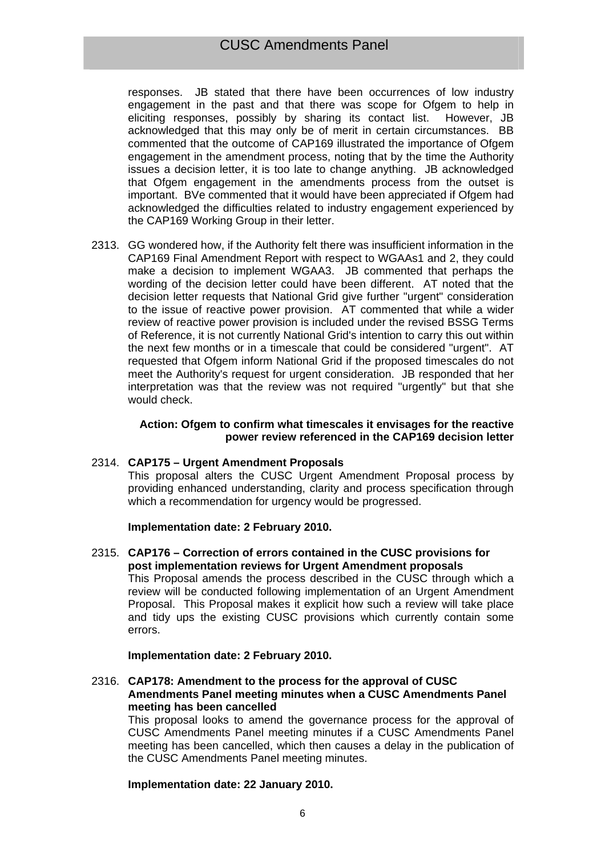# CUSC Amendments Panel

responses. JB stated that there have been occurrences of low industry engagement in the past and that there was scope for Ofgem to help in eliciting responses, possibly by sharing its contact list. However, JB acknowledged that this may only be of merit in certain circumstances. BB commented that the outcome of CAP169 illustrated the importance of Ofgem engagement in the amendment process, noting that by the time the Authority issues a decision letter, it is too late to change anything. JB acknowledged that Ofgem engagement in the amendments process from the outset is important. BVe commented that it would have been appreciated if Ofgem had acknowledged the difficulties related to industry engagement experienced by the CAP169 Working Group in their letter.

2313. GG wondered how, if the Authority felt there was insufficient information in the CAP169 Final Amendment Report with respect to WGAAs1 and 2, they could make a decision to implement WGAA3. JB commented that perhaps the wording of the decision letter could have been different. AT noted that the decision letter requests that National Grid give further "urgent" consideration to the issue of reactive power provision. AT commented that while a wider review of reactive power provision is included under the revised BSSG Terms of Reference, it is not currently National Grid's intention to carry this out within the next few months or in a timescale that could be considered "urgent". AT requested that Ofgem inform National Grid if the proposed timescales do not meet the Authority's request for urgent consideration. JB responded that her interpretation was that the review was not required "urgently" but that she would check.

### **Action: Ofgem to confirm what timescales it envisages for the reactive power review referenced in the CAP169 decision letter**

# 2314. **CAP175 – Urgent Amendment Proposals**

This proposal alters the CUSC Urgent Amendment Proposal process by providing enhanced understanding, clarity and process specification through which a recommendation for urgency would be progressed.

### **Implementation date: 2 February 2010.**

2315. **CAP176 – Correction of errors contained in the CUSC provisions for post implementation reviews for Urgent Amendment proposals**  This Proposal amends the process described in the CUSC through which a review will be conducted following implementation of an Urgent Amendment Proposal. This Proposal makes it explicit how such a review will take place and tidy ups the existing CUSC provisions which currently contain some errors.

### **Implementation date: 2 February 2010.**

2316. **CAP178: Amendment to the process for the approval of CUSC Amendments Panel meeting minutes when a CUSC Amendments Panel meeting has been cancelled** 

This proposal looks to amend the governance process for the approval of CUSC Amendments Panel meeting minutes if a CUSC Amendments Panel meeting has been cancelled, which then causes a delay in the publication of the CUSC Amendments Panel meeting minutes.

### **Implementation date: 22 January 2010.**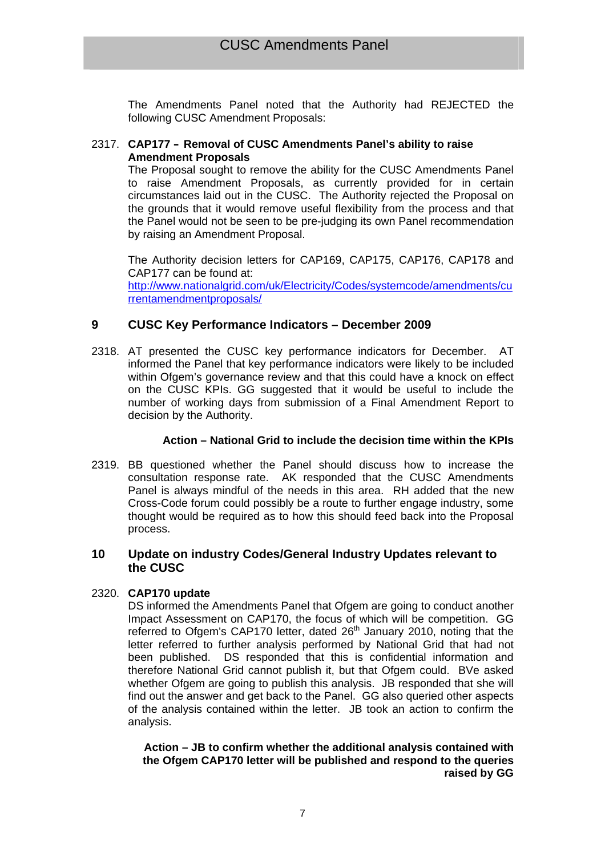The Amendments Panel noted that the Authority had REJECTED the following CUSC Amendment Proposals:

# 2317. **CAP177 – Removal of CUSC Amendments Panel's ability to raise Amendment Proposals**

The Proposal sought to remove the ability for the CUSC Amendments Panel to raise Amendment Proposals, as currently provided for in certain circumstances laid out in the CUSC. The Authority rejected the Proposal on the grounds that it would remove useful flexibility from the process and that the Panel would not be seen to be pre-judging its own Panel recommendation by raising an Amendment Proposal.

The Authority decision letters for CAP169, CAP175, CAP176, CAP178 and CAP177 can be found at: http://www.nationalgrid.com/uk/Electricity/Codes/systemcode/amendments/cu rrentamendmentproposals/

# **9 CUSC Key Performance Indicators – December 2009**

2318. AT presented the CUSC key performance indicators for December. AT informed the Panel that key performance indicators were likely to be included within Ofgem's governance review and that this could have a knock on effect on the CUSC KPIs. GG suggested that it would be useful to include the number of working days from submission of a Final Amendment Report to decision by the Authority.

# **Action – National Grid to include the decision time within the KPIs**

2319. BB questioned whether the Panel should discuss how to increase the consultation response rate. AK responded that the CUSC Amendments Panel is always mindful of the needs in this area. RH added that the new Cross-Code forum could possibly be a route to further engage industry, some thought would be required as to how this should feed back into the Proposal process.

# **10 Update on industry Codes/General Industry Updates relevant to the CUSC**

# 2320. **CAP170 update**

DS informed the Amendments Panel that Ofgem are going to conduct another Impact Assessment on CAP170, the focus of which will be competition. GG referred to Ofgem's CAP170 letter, dated 26<sup>th</sup> January 2010, noting that the letter referred to further analysis performed by National Grid that had not been published. DS responded that this is confidential information and therefore National Grid cannot publish it, but that Ofgem could. BVe asked whether Ofgem are going to publish this analysis. JB responded that she will find out the answer and get back to the Panel. GG also queried other aspects of the analysis contained within the letter. JB took an action to confirm the analysis.

**Action – JB to confirm whether the additional analysis contained with the Ofgem CAP170 letter will be published and respond to the queries raised by GG**